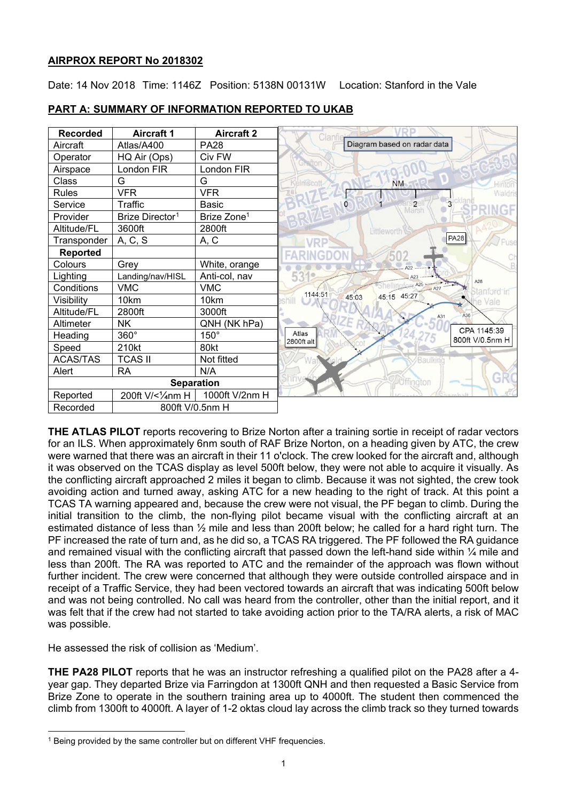# **AIRPROX REPORT No 2018302**

Date: 14 Nov 2018 Time: 1146Z Position: 5138N 00131W Location: Stanford in the Vale



# **PART A: SUMMARY OF INFORMATION REPORTED TO UKAB**

**THE ATLAS PILOT** reports recovering to Brize Norton after a training sortie in receipt of radar vectors for an ILS. When approximately 6nm south of RAF Brize Norton, on a heading given by ATC, the crew were warned that there was an aircraft in their 11 o'clock. The crew looked for the aircraft and, although it was observed on the TCAS display as level 500ft below, they were not able to acquire it visually. As the conflicting aircraft approached 2 miles it began to climb. Because it was not sighted, the crew took avoiding action and turned away, asking ATC for a new heading to the right of track. At this point a TCAS TA warning appeared and, because the crew were not visual, the PF began to climb. During the initial transition to the climb, the non-flying pilot became visual with the conflicting aircraft at an estimated distance of less than ½ mile and less than 200ft below; he called for a hard right turn. The PF increased the rate of turn and, as he did so, a TCAS RA triggered. The PF followed the RA guidance and remained visual with the conflicting aircraft that passed down the left-hand side within 1/4 mile and less than 200ft. The RA was reported to ATC and the remainder of the approach was flown without further incident. The crew were concerned that although they were outside controlled airspace and in receipt of a Traffic Service, they had been vectored towards an aircraft that was indicating 500ft below and was not being controlled. No call was heard from the controller, other than the initial report, and it was felt that if the crew had not started to take avoiding action prior to the TA/RA alerts, a risk of MAC was possible.

He assessed the risk of collision as 'Medium'.

 $\overline{a}$ 

**THE PA28 PILOT** reports that he was an instructor refreshing a qualified pilot on the PA28 after a 4 year gap. They departed Brize via Farringdon at 1300ft QNH and then requested a Basic Service from Brize Zone to operate in the southern training area up to 4000ft. The student then commenced the climb from 1300ft to 4000ft. A layer of 1-2 oktas cloud lay across the climb track so they turned towards

<span id="page-0-0"></span><sup>&</sup>lt;sup>1</sup> Being provided by the same controller but on different VHF frequencies.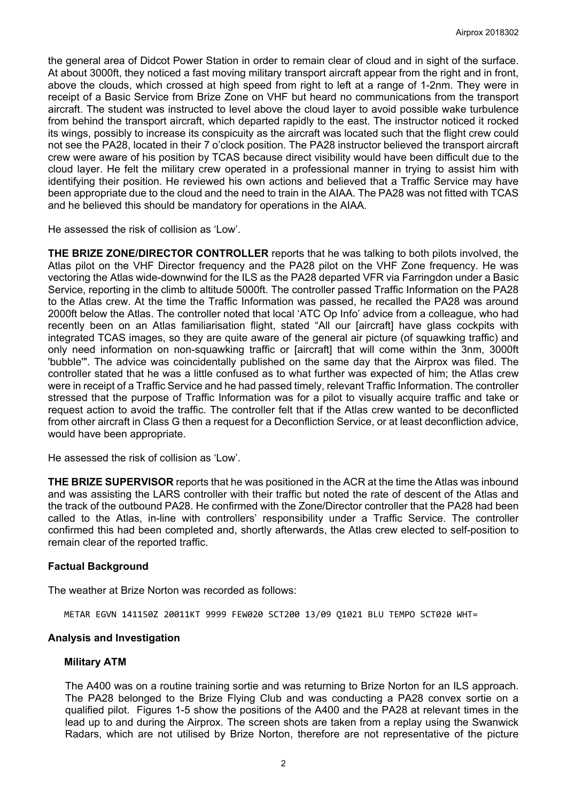the general area of Didcot Power Station in order to remain clear of cloud and in sight of the surface. At about 3000ft, they noticed a fast moving military transport aircraft appear from the right and in front, above the clouds, which crossed at high speed from right to left at a range of 1-2nm. They were in receipt of a Basic Service from Brize Zone on VHF but heard no communications from the transport aircraft. The student was instructed to level above the cloud layer to avoid possible wake turbulence from behind the transport aircraft, which departed rapidly to the east. The instructor noticed it rocked its wings, possibly to increase its conspicuity as the aircraft was located such that the flight crew could not see the PA28, located in their 7 o'clock position. The PA28 instructor believed the transport aircraft crew were aware of his position by TCAS because direct visibility would have been difficult due to the cloud layer. He felt the military crew operated in a professional manner in trying to assist him with identifying their position. He reviewed his own actions and believed that a Traffic Service may have been appropriate due to the cloud and the need to train in the AIAA. The PA28 was not fitted with TCAS and he believed this should be mandatory for operations in the AIAA.

He assessed the risk of collision as 'Low'.

**THE BRIZE ZONE/DIRECTOR CONTROLLER** reports that he was talking to both pilots involved, the Atlas pilot on the VHF Director frequency and the PA28 pilot on the VHF Zone frequency. He was vectoring the Atlas wide-downwind for the ILS as the PA28 departed VFR via Farringdon under a Basic Service, reporting in the climb to altitude 5000ft. The controller passed Traffic Information on the PA28 to the Atlas crew. At the time the Traffic Information was passed, he recalled the PA28 was around 2000ft below the Atlas. The controller noted that local 'ATC Op Info' advice from a colleague, who had recently been on an Atlas familiarisation flight, stated "All our [aircraft] have glass cockpits with integrated TCAS images, so they are quite aware of the general air picture (of squawking traffic) and only need information on non-squawking traffic or [aircraft] that will come within the 3nm, 3000ft 'bubble'". The advice was coincidentally published on the same day that the Airprox was filed. The controller stated that he was a little confused as to what further was expected of him; the Atlas crew were in receipt of a Traffic Service and he had passed timely, relevant Traffic Information. The controller stressed that the purpose of Traffic Information was for a pilot to visually acquire traffic and take or request action to avoid the traffic. The controller felt that if the Atlas crew wanted to be deconflicted from other aircraft in Class G then a request for a Deconfliction Service, or at least deconfliction advice, would have been appropriate.

He assessed the risk of collision as 'Low'.

**THE BRIZE SUPERVISOR** reports that he was positioned in the ACR at the time the Atlas was inbound and was assisting the LARS controller with their traffic but noted the rate of descent of the Atlas and the track of the outbound PA28. He confirmed with the Zone/Director controller that the PA28 had been called to the Atlas, in-line with controllers' responsibility under a Traffic Service. The controller confirmed this had been completed and, shortly afterwards, the Atlas crew elected to self-position to remain clear of the reported traffic.

### **Factual Background**

The weather at Brize Norton was recorded as follows:

METAR EGVN 141150Z 20011KT 9999 FEW020 SCT200 13/09 Q1021 BLU TEMPO SCT020 WHT=

### **Analysis and Investigation**

### **Military ATM**

The A400 was on a routine training sortie and was returning to Brize Norton for an ILS approach. The PA28 belonged to the Brize Flying Club and was conducting a PA28 convex sortie on a qualified pilot. Figures 1-5 show the positions of the A400 and the PA28 at relevant times in the lead up to and during the Airprox. The screen shots are taken from a replay using the Swanwick Radars, which are not utilised by Brize Norton, therefore are not representative of the picture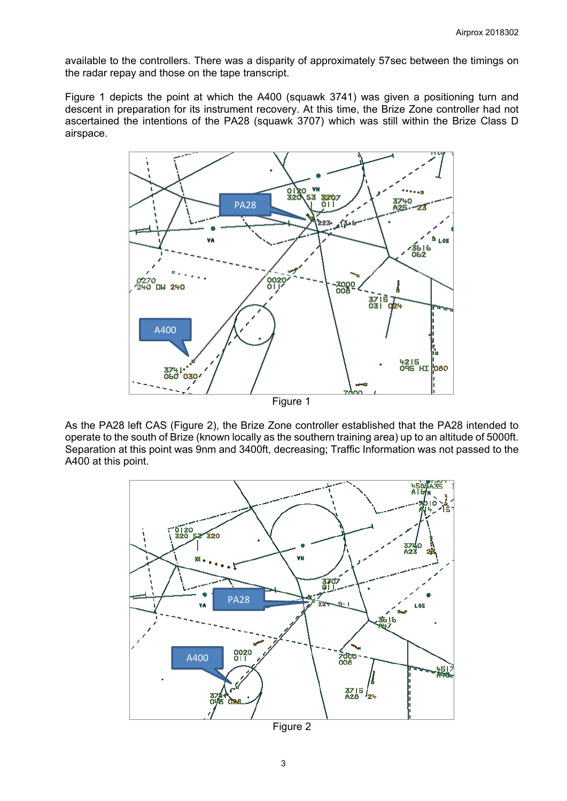available to the controllers. There was a disparity of approximately 57sec between the timings on the radar repay and those on the tape transcript.

Figure 1 depicts the point at which the A400 (squawk 3741) was given a positioning turn and descent in preparation for its instrument recovery. At this time, the Brize Zone controller had not ascertained the intentions of the PA28 (squawk 3707) which was still within the Brize Class D airspace.



As the PA28 left CAS (Figure 2), the Brize Zone controller established that the PA28 intended to operate to the south of Brize (known locally as the southern training area) up to an altitude of 5000ft. Separation at this point was 9nm and 3400ft, decreasing; Traffic Information was not passed to the A400 at this point.



Figure 2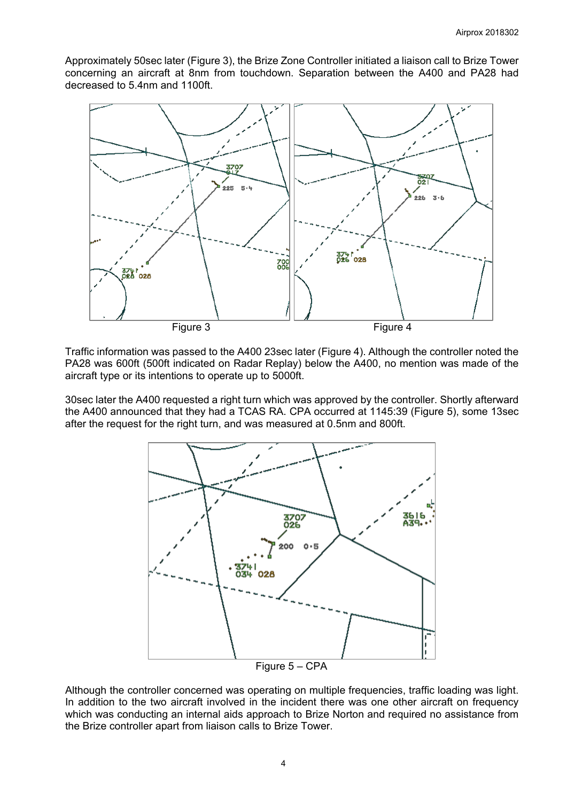Approximately 50sec later (Figure 3), the Brize Zone Controller initiated a liaison call to Brize Tower concerning an aircraft at 8nm from touchdown. Separation between the A400 and PA28 had decreased to 5.4nm and 1100ft.



Traffic information was passed to the A400 23sec later (Figure 4). Although the controller noted the PA28 was 600ft (500ft indicated on Radar Replay) below the A400, no mention was made of the aircraft type or its intentions to operate up to 5000ft.

30sec later the A400 requested a right turn which was approved by the controller. Shortly afterward the A400 announced that they had a TCAS RA. CPA occurred at 1145:39 (Figure 5), some 13sec after the request for the right turn, and was measured at 0.5nm and 800ft.



Although the controller concerned was operating on multiple frequencies, traffic loading was light. In addition to the two aircraft involved in the incident there was one other aircraft on frequency which was conducting an internal aids approach to Brize Norton and required no assistance from the Brize controller apart from liaison calls to Brize Tower.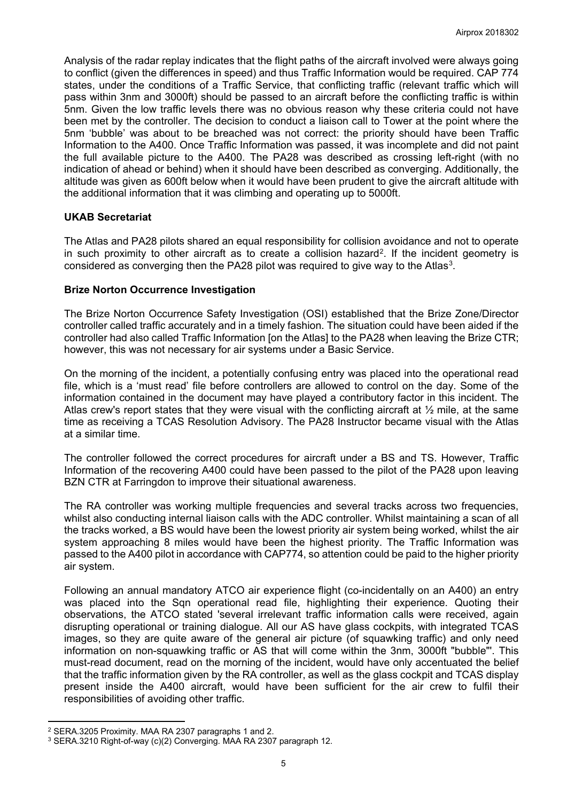Analysis of the radar replay indicates that the flight paths of the aircraft involved were always going to conflict (given the differences in speed) and thus Traffic Information would be required. CAP 774 states, under the conditions of a Traffic Service, that conflicting traffic (relevant traffic which will pass within 3nm and 3000ft) should be passed to an aircraft before the conflicting traffic is within 5nm. Given the low traffic levels there was no obvious reason why these criteria could not have been met by the controller. The decision to conduct a liaison call to Tower at the point where the 5nm 'bubble' was about to be breached was not correct: the priority should have been Traffic Information to the A400. Once Traffic Information was passed, it was incomplete and did not paint the full available picture to the A400. The PA28 was described as crossing left-right (with no indication of ahead or behind) when it should have been described as converging. Additionally, the altitude was given as 600ft below when it would have been prudent to give the aircraft altitude with the additional information that it was climbing and operating up to 5000ft.

### **UKAB Secretariat**

The Atlas and PA28 pilots shared an equal responsibility for collision avoidance and not to operate in such proximity to other aircraft as to create a collision hazard<sup>2</sup>. If the incident geometry is considered as converging then the PA28 pilot was required to give way to the Atlas<sup>[3](#page-4-1)</sup>.

### **Brize Norton Occurrence Investigation**

The Brize Norton Occurrence Safety Investigation (OSI) established that the Brize Zone/Director controller called traffic accurately and in a timely fashion. The situation could have been aided if the controller had also called Traffic Information [on the Atlas] to the PA28 when leaving the Brize CTR; however, this was not necessary for air systems under a Basic Service.

On the morning of the incident, a potentially confusing entry was placed into the operational read file, which is a 'must read' file before controllers are allowed to control on the day. Some of the information contained in the document may have played a contributory factor in this incident. The Atlas crew's report states that they were visual with the conflicting aircraft at  $\frac{1}{2}$  mile, at the same time as receiving a TCAS Resolution Advisory. The PA28 Instructor became visual with the Atlas at a similar time.

The controller followed the correct procedures for aircraft under a BS and TS. However, Traffic Information of the recovering A400 could have been passed to the pilot of the PA28 upon leaving BZN CTR at Farringdon to improve their situational awareness.

The RA controller was working multiple frequencies and several tracks across two frequencies, whilst also conducting internal liaison calls with the ADC controller. Whilst maintaining a scan of all the tracks worked, a BS would have been the lowest priority air system being worked, whilst the air system approaching 8 miles would have been the highest priority. The Traffic Information was passed to the A400 pilot in accordance with CAP774, so attention could be paid to the higher priority air system.

Following an annual mandatory ATCO air experience flight (co-incidentally on an A400) an entry was placed into the Sqn operational read file, highlighting their experience. Quoting their observations, the ATCO stated 'several irrelevant traffic information calls were received, again disrupting operational or training dialogue. All our AS have glass cockpits, with integrated TCAS images, so they are quite aware of the general air picture (of squawking traffic) and only need information on non-squawking traffic or AS that will come within the 3nm, 3000ft "bubble"'. This must-read document, read on the morning of the incident, would have only accentuated the belief that the traffic information given by the RA controller, as well as the glass cockpit and TCAS display present inside the A400 aircraft, would have been sufficient for the air crew to fulfil their responsibilities of avoiding other traffic.

 $\overline{a}$ 

<span id="page-4-0"></span><sup>2</sup> SERA.3205 Proximity. MAA RA 2307 paragraphs 1 and 2.

<span id="page-4-1"></span><sup>3</sup> SERA.3210 Right-of-way (c)(2) Converging. MAA RA 2307 paragraph 12.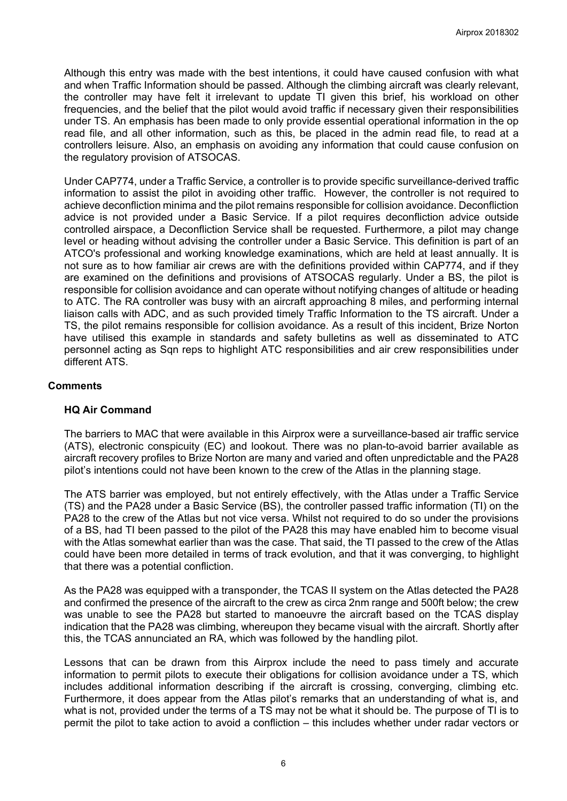Although this entry was made with the best intentions, it could have caused confusion with what and when Traffic Information should be passed. Although the climbing aircraft was clearly relevant, the controller may have felt it irrelevant to update TI given this brief, his workload on other frequencies, and the belief that the pilot would avoid traffic if necessary given their responsibilities under TS. An emphasis has been made to only provide essential operational information in the op read file, and all other information, such as this, be placed in the admin read file, to read at a controllers leisure. Also, an emphasis on avoiding any information that could cause confusion on the regulatory provision of ATSOCAS.

Under CAP774, under a Traffic Service, a controller is to provide specific surveillance-derived traffic information to assist the pilot in avoiding other traffic. However, the controller is not required to achieve deconfliction minima and the pilot remains responsible for collision avoidance. Deconfliction advice is not provided under a Basic Service. If a pilot requires deconfliction advice outside controlled airspace, a Deconfliction Service shall be requested. Furthermore, a pilot may change level or heading without advising the controller under a Basic Service. This definition is part of an ATCO's professional and working knowledge examinations, which are held at least annually. It is not sure as to how familiar air crews are with the definitions provided within CAP774, and if they are examined on the definitions and provisions of ATSOCAS regularly. Under a BS, the pilot is responsible for collision avoidance and can operate without notifying changes of altitude or heading to ATC. The RA controller was busy with an aircraft approaching 8 miles, and performing internal liaison calls with ADC, and as such provided timely Traffic Information to the TS aircraft. Under a TS, the pilot remains responsible for collision avoidance. As a result of this incident, Brize Norton have utilised this example in standards and safety bulletins as well as disseminated to ATC personnel acting as Sqn reps to highlight ATC responsibilities and air crew responsibilities under different ATS.

### **Comments**

### **HQ Air Command**

The barriers to MAC that were available in this Airprox were a surveillance-based air traffic service (ATS), electronic conspicuity (EC) and lookout. There was no plan-to-avoid barrier available as aircraft recovery profiles to Brize Norton are many and varied and often unpredictable and the PA28 pilot's intentions could not have been known to the crew of the Atlas in the planning stage.

The ATS barrier was employed, but not entirely effectively, with the Atlas under a Traffic Service (TS) and the PA28 under a Basic Service (BS), the controller passed traffic information (TI) on the PA28 to the crew of the Atlas but not vice versa. Whilst not required to do so under the provisions of a BS, had TI been passed to the pilot of the PA28 this may have enabled him to become visual with the Atlas somewhat earlier than was the case. That said, the TI passed to the crew of the Atlas could have been more detailed in terms of track evolution, and that it was converging, to highlight that there was a potential confliction.

As the PA28 was equipped with a transponder, the TCAS II system on the Atlas detected the PA28 and confirmed the presence of the aircraft to the crew as circa 2nm range and 500ft below; the crew was unable to see the PA28 but started to manoeuvre the aircraft based on the TCAS display indication that the PA28 was climbing, whereupon they became visual with the aircraft. Shortly after this, the TCAS annunciated an RA, which was followed by the handling pilot.

Lessons that can be drawn from this Airprox include the need to pass timely and accurate information to permit pilots to execute their obligations for collision avoidance under a TS, which includes additional information describing if the aircraft is crossing, converging, climbing etc. Furthermore, it does appear from the Atlas pilot's remarks that an understanding of what is, and what is not, provided under the terms of a TS may not be what it should be. The purpose of TI is to permit the pilot to take action to avoid a confliction – this includes whether under radar vectors or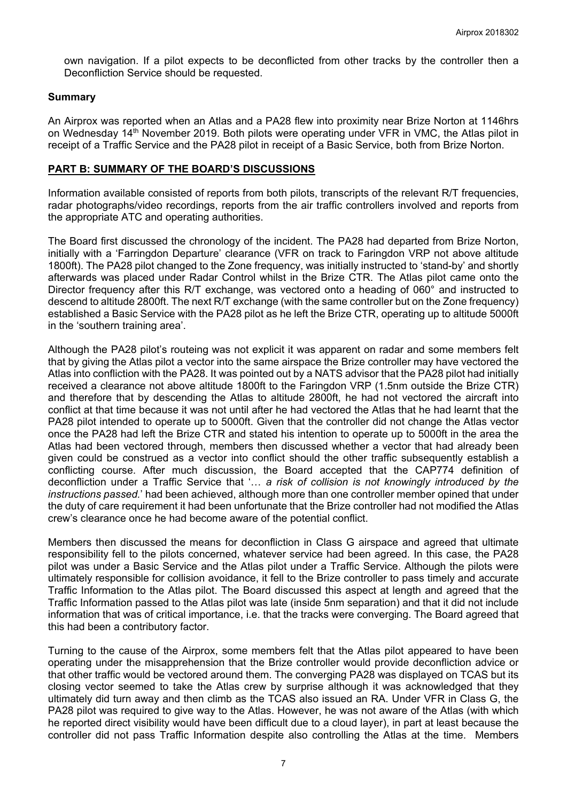own navigation. If a pilot expects to be deconflicted from other tracks by the controller then a Deconfliction Service should be requested.

#### **Summary**

An Airprox was reported when an Atlas and a PA28 flew into proximity near Brize Norton at 1146hrs on Wednesday 14<sup>th</sup> November 2019. Both pilots were operating under VFR in VMC, the Atlas pilot in receipt of a Traffic Service and the PA28 pilot in receipt of a Basic Service, both from Brize Norton.

#### **PART B: SUMMARY OF THE BOARD'S DISCUSSIONS**

Information available consisted of reports from both pilots, transcripts of the relevant R/T frequencies, radar photographs/video recordings, reports from the air traffic controllers involved and reports from the appropriate ATC and operating authorities.

The Board first discussed the chronology of the incident. The PA28 had departed from Brize Norton, initially with a 'Farringdon Departure' clearance (VFR on track to Faringdon VRP not above altitude 1800ft). The PA28 pilot changed to the Zone frequency, was initially instructed to 'stand-by' and shortly afterwards was placed under Radar Control whilst in the Brize CTR. The Atlas pilot came onto the Director frequency after this R/T exchange, was vectored onto a heading of 060° and instructed to descend to altitude 2800ft. The next R/T exchange (with the same controller but on the Zone frequency) established a Basic Service with the PA28 pilot as he left the Brize CTR, operating up to altitude 5000ft in the 'southern training area'.

Although the PA28 pilot's routeing was not explicit it was apparent on radar and some members felt that by giving the Atlas pilot a vector into the same airspace the Brize controller may have vectored the Atlas into confliction with the PA28. It was pointed out by a NATS advisor that the PA28 pilot had initially received a clearance not above altitude 1800ft to the Faringdon VRP (1.5nm outside the Brize CTR) and therefore that by descending the Atlas to altitude 2800ft, he had not vectored the aircraft into conflict at that time because it was not until after he had vectored the Atlas that he had learnt that the PA28 pilot intended to operate up to 5000ft. Given that the controller did not change the Atlas vector once the PA28 had left the Brize CTR and stated his intention to operate up to 5000ft in the area the Atlas had been vectored through, members then discussed whether a vector that had already been given could be construed as a vector into conflict should the other traffic subsequently establish a conflicting course. After much discussion, the Board accepted that the CAP774 definition of deconfliction under a Traffic Service that '… *a risk of collision is not knowingly introduced by the instructions passed.*' had been achieved, although more than one controller member opined that under the duty of care requirement it had been unfortunate that the Brize controller had not modified the Atlas crew's clearance once he had become aware of the potential conflict.

Members then discussed the means for deconfliction in Class G airspace and agreed that ultimate responsibility fell to the pilots concerned, whatever service had been agreed. In this case, the PA28 pilot was under a Basic Service and the Atlas pilot under a Traffic Service. Although the pilots were ultimately responsible for collision avoidance, it fell to the Brize controller to pass timely and accurate Traffic Information to the Atlas pilot. The Board discussed this aspect at length and agreed that the Traffic Information passed to the Atlas pilot was late (inside 5nm separation) and that it did not include information that was of critical importance, i.e. that the tracks were converging. The Board agreed that this had been a contributory factor.

Turning to the cause of the Airprox, some members felt that the Atlas pilot appeared to have been operating under the misapprehension that the Brize controller would provide deconfliction advice or that other traffic would be vectored around them. The converging PA28 was displayed on TCAS but its closing vector seemed to take the Atlas crew by surprise although it was acknowledged that they ultimately did turn away and then climb as the TCAS also issued an RA. Under VFR in Class G, the PA28 pilot was required to give way to the Atlas. However, he was not aware of the Atlas (with which he reported direct visibility would have been difficult due to a cloud layer), in part at least because the controller did not pass Traffic Information despite also controlling the Atlas at the time. Members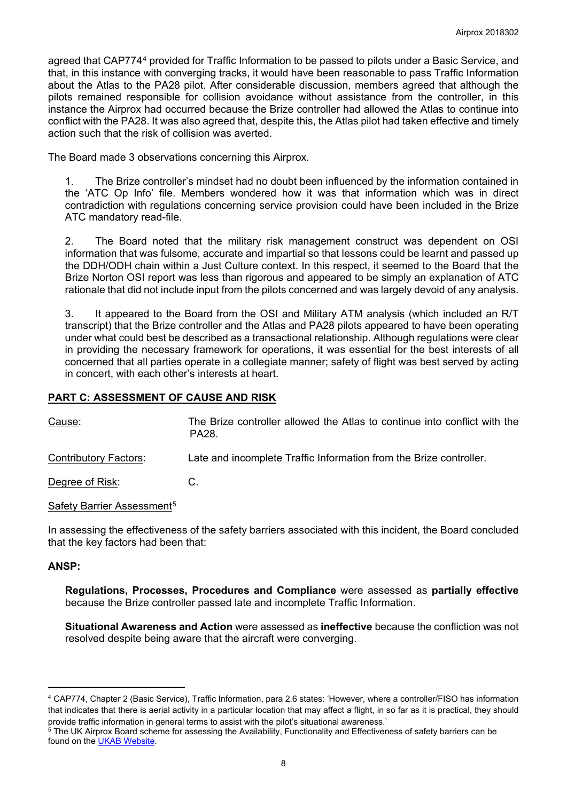agreed that CAP774[4](#page-7-0) provided for Traffic Information to be passed to pilots under a Basic Service, and that, in this instance with converging tracks, it would have been reasonable to pass Traffic Information about the Atlas to the PA28 pilot. After considerable discussion, members agreed that although the pilots remained responsible for collision avoidance without assistance from the controller, in this instance the Airprox had occurred because the Brize controller had allowed the Atlas to continue into conflict with the PA28. It was also agreed that, despite this, the Atlas pilot had taken effective and timely action such that the risk of collision was averted.

The Board made 3 observations concerning this Airprox.

1. The Brize controller's mindset had no doubt been influenced by the information contained in the 'ATC Op Info' file. Members wondered how it was that information which was in direct contradiction with regulations concerning service provision could have been included in the Brize ATC mandatory read-file.

2. The Board noted that the military risk management construct was dependent on OSI information that was fulsome, accurate and impartial so that lessons could be learnt and passed up the DDH/ODH chain within a Just Culture context. In this respect, it seemed to the Board that the Brize Norton OSI report was less than rigorous and appeared to be simply an explanation of ATC rationale that did not include input from the pilots concerned and was largely devoid of any analysis.

3. It appeared to the Board from the OSI and Military ATM analysis (which included an R/T transcript) that the Brize controller and the Atlas and PA28 pilots appeared to have been operating under what could best be described as a transactional relationship. Although regulations were clear in providing the necessary framework for operations, it was essential for the best interests of all concerned that all parties operate in a collegiate manner; safety of flight was best served by acting in concert, with each other's interests at heart.

## **PART C: ASSESSMENT OF CAUSE AND RISK**

Cause: The Brize controller allowed the Atlas to continue into conflict with the PA28.

Contributory Factors: Late and incomplete Traffic Information from the Brize controller.

Degree of Risk: C.

Safety Barrier Assessment<sup>[5](#page-7-1)</sup>

In assessing the effectiveness of the safety barriers associated with this incident, the Board concluded that the key factors had been that:

### **ANSP:**

 $\overline{a}$ 

**Regulations, Processes, Procedures and Compliance** were assessed as **partially effective** because the Brize controller passed late and incomplete Traffic Information.

**Situational Awareness and Action** were assessed as **ineffective** because the confliction was not resolved despite being aware that the aircraft were converging.

<span id="page-7-0"></span><sup>4</sup> CAP774, Chapter 2 (Basic Service), Traffic Information, para 2.6 states: 'However, where a controller/FISO has information that indicates that there is aerial activity in a particular location that may affect a flight, in so far as it is practical, they should provide traffic information in general terms to assist with the pilot's situational awareness.'

<span id="page-7-1"></span> $5$  The UK Airprox Board scheme for assessing the Availability, Functionality and Effectiveness of safety barriers can be found on the **UKAB Website**.